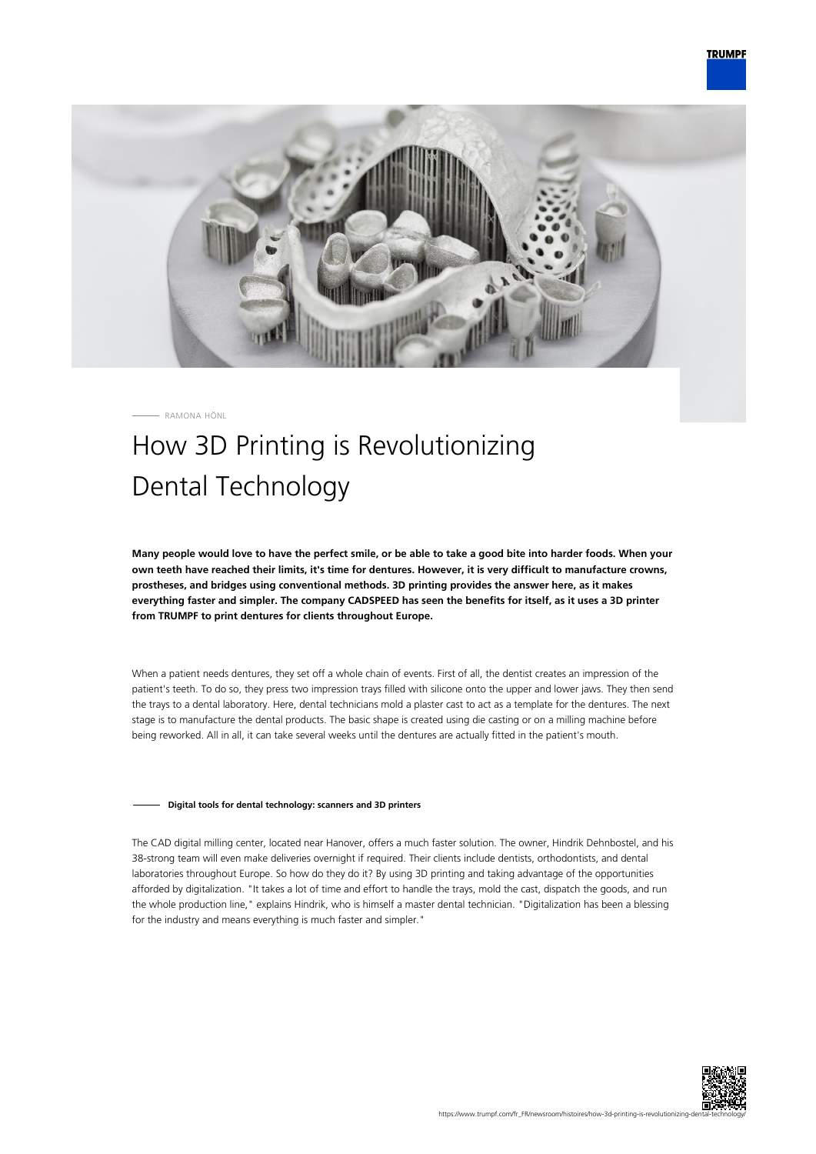

RAMONA HÖNL

# How 3D Printing is Revolutionizing Dental Technology

**Many people would love to have the perfect smile, or be able to take a good bite into harder foods. When your own teeth have reached their limits, it's time for dentures. However, it is very difficult to manufacture crowns, prostheses, and bridges using conventional methods. 3D printing provides the answer here, as it makes everything faster and simpler. The company CADSPEED has seen the benefits for itself, as it uses a 3D printer from TRUMPF to print dentures for clients throughout Europe.**

When a patient needs dentures, they set off a whole chain of events. First of all, the dentist creates an impression of the patient's teeth. To do so, they press two impression trays filled with silicone onto the upper and lower jaws. They then send the trays to a dental laboratory. Here, dental technicians mold a plaster cast to act as a template for the dentures. The next stage is to manufacture the dental products. The basic shape is created using die casting or on a milling machine before being reworked. All in all, it can take several weeks until the dentures are actually fitted in the patient's mouth.

## **Digital tools for dental technology: scanners and 3D printers**

The CAD digital milling center, located near Hanover, offers a much faster solution. The owner, Hindrik Dehnbostel, and his 38-strong team will even make deliveries overnight if required. Their clients include dentists, orthodontists, and dental laboratories throughout Europe. So how do they do it? By using 3D printing and taking advantage of the opportunities afforded by digitalization. "It takes a lot of time and effort to handle the trays, mold the cast, dispatch the goods, and run the whole production line," explains Hindrik, who is himself a master dental technician. "Digitalization has been a blessing for the industry and means everything is much faster and simpler."

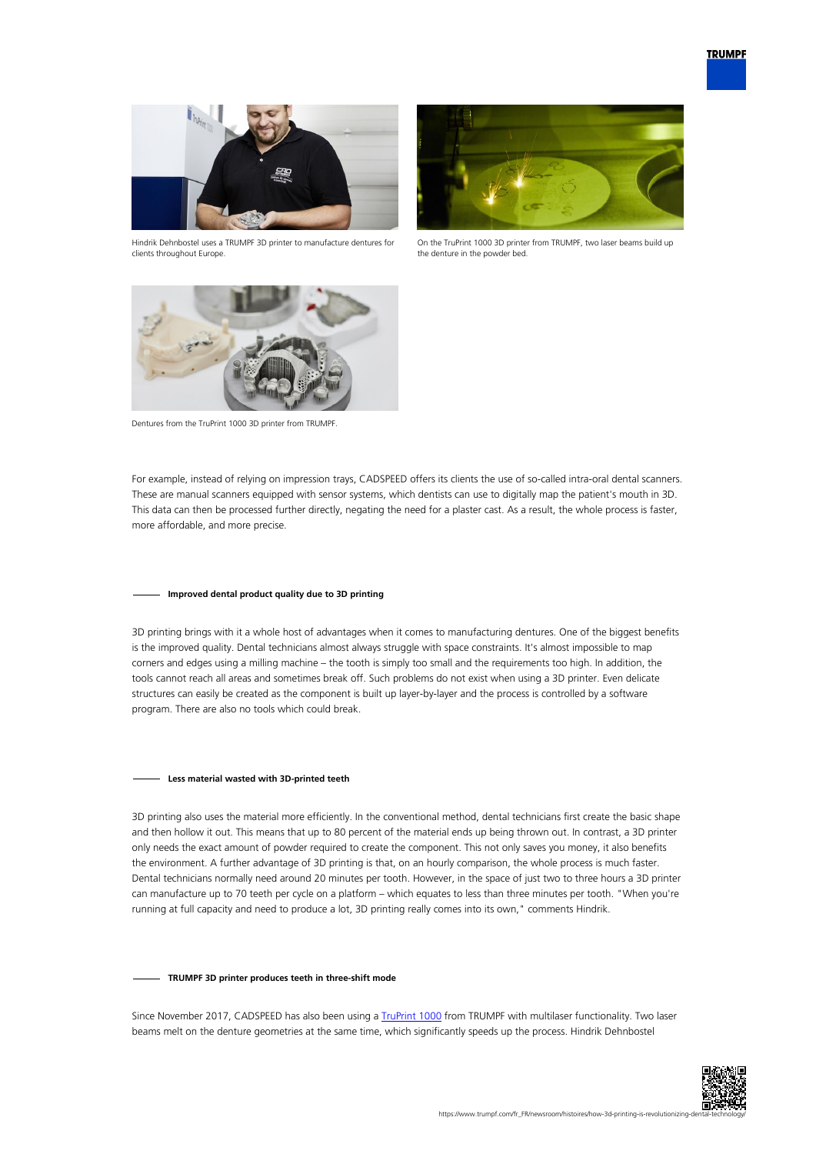

Hindrik Dehnbostel uses a TRUMPF 3D printer to manufacture dentures for clients throughout Europe.



On the TruPrint 1000 3D printer from TRUMPF, two laser beams build up the denture in the powder bed.



Dentures from the TruPrint 1000 3D printer from TRUMPF.

For example, instead of relying on impression trays, CADSPEED offers its clients the use of so-called intra-oral dental scanners. These are manual scanners equipped with sensor systems, which dentists can use to digitally map the patient's mouth in 3D. This data can then be processed further directly, negating the need for a plaster cast. As a result, the whole process is faster, more affordable, and more precise.

## **Improved dental product quality due to 3D printing**

3D printing brings with it a whole host of advantages when it comes to manufacturing dentures. One of the biggest benefits is the improved quality. Dental technicians almost always struggle with space constraints. It's almost impossible to map corners and edges using a milling machine – the tooth is simply too small and the requirements too high. In addition, the tools cannot reach all areas and sometimes break off. Such problems do not exist when using a 3D printer. Even delicate structures can easily be created as the component is built up layer-by-layer and the process is controlled by a software program. There are also no tools which could break.

#### **Less material wasted with 3D-printed teeth**

3D printing also uses the material more efficiently. In the conventional method, dental technicians first create the basic shape and then hollow it out. This means that up to 80 percent of the material ends up being thrown out. In contrast, a 3D printer only needs the exact amount of powder required to create the component. This not only saves you money, it also benefits the environment. A further advantage of 3D printing is that, on an hourly comparison, the whole process is much faster. Dental technicians normally need around 20 minutes per tooth. However, in the space of just two to three hours a 3D printer can manufacture up to 70 teeth per cycle on a platform – which equates to less than three minutes per tooth. "When you're running at full capacity and need to produce a lot, 3D printing really comes into its own," comments Hindrik.

#### **TRUMPF 3D printer produces teeth in three-shift mode**

Since November 2017, CADSPEED has also been using a [TruPrint 1000](https://www.trumpf.com/fr_FR/produits/machines-systemes/systemes-de-fabrication-additive/truprint-1000/) from TRUMPF with multilaser functionality. Two laser beams melt on the denture geometries at the same time, which significantly speeds up the process. Hindrik Dehnbostel